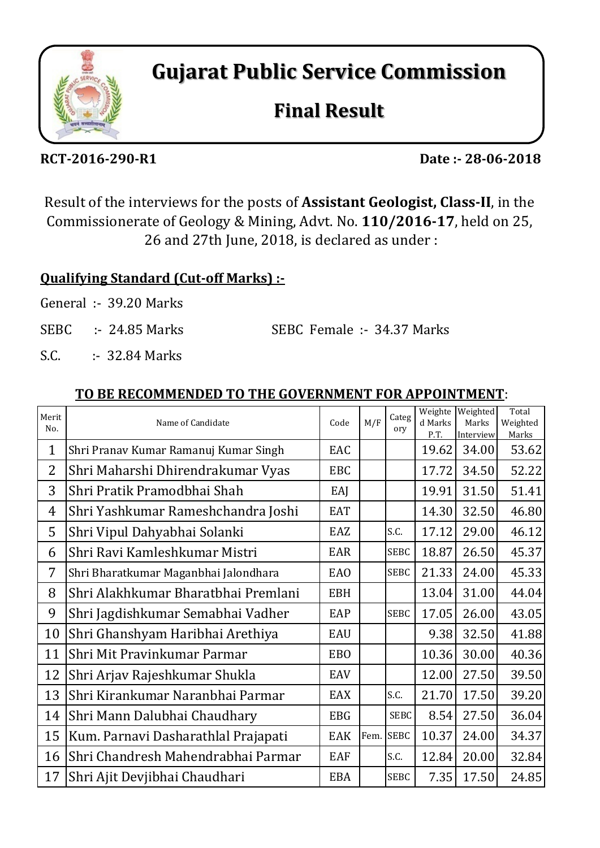

**Gujarat Public Service Commission**

# **Final Result**

**RCT-2016-290-R1 Date :- 28-06-2018**

Result of the interviews for the posts of **Assistant Geologist, Class-II**, in the Commissionerate of Geology & Mining, Advt. No. **110/2016-17**, held on 25, 26 and 27th June, 2018, is declared as under :

# **Qualifying Standard (Cut-off Marks) :-**

- General :- 39.20 Marks
- SEBC :- 24.85 Marks SEBC Female :- 34.37 Marks
- S.C. : 32.84 Marks

### **TO BE RECOMMENDED TO THE GOVERNMENT FOR APPOINTMENT**:

| Merit<br>No.   | Name of Candidate                     | Code       | M/F  | Categ<br>ory | Weighte<br>d Marks<br>P.T. | Weighted<br>Marks<br>Interview | Total<br>Weighted<br>Marks |
|----------------|---------------------------------------|------------|------|--------------|----------------------------|--------------------------------|----------------------------|
| 1              | Shri Pranav Kumar Ramanuj Kumar Singh | EAC        |      |              | 19.62                      | 34.00                          | 53.62                      |
| $\overline{2}$ | Shri Maharshi Dhirendrakumar Vyas     | <b>EBC</b> |      |              | 17.72                      | 34.50                          | 52.22                      |
| 3              | Shri Pratik Pramodbhai Shah           | EAJ        |      |              | 19.91                      | 31.50                          | 51.41                      |
| $\overline{4}$ | Shri Yashkumar Rameshchandra Joshi    | <b>EAT</b> |      |              | 14.30                      | 32.50                          | 46.80                      |
| 5              | Shri Vipul Dahyabhai Solanki          | EAZ        |      | S.C.         | 17.12                      | 29.00                          | 46.12                      |
| 6              | Shri Ravi Kamleshkumar Mistri         | <b>EAR</b> |      | <b>SEBC</b>  | 18.87                      | 26.50                          | 45.37                      |
| 7              | Shri Bharatkumar Maganbhai Jalondhara | <b>EAO</b> |      | <b>SEBC</b>  | 21.33                      | 24.00                          | 45.33                      |
| 8              | Shri Alakhkumar Bharatbhai Premlani   | <b>EBH</b> |      |              | 13.04                      | 31.00                          | 44.04                      |
| 9              | Shri Jagdishkumar Semabhai Vadher     | EAP        |      | <b>SEBC</b>  | 17.05                      | 26.00                          | 43.05                      |
| 10             | Shri Ghanshyam Haribhai Arethiya      | <b>EAU</b> |      |              | 9.38                       | 32.50                          | 41.88                      |
| 11             | Shri Mit Pravinkumar Parmar           | <b>EBO</b> |      |              | 10.36                      | 30.00                          | 40.36                      |
| 12             | Shri Arjav Rajeshkumar Shukla         | EAV        |      |              | 12.00                      | 27.50                          | 39.50                      |
| 13             | Shri Kirankumar Naranbhai Parmar      | EAX        |      | S.C.         | 21.70                      | 17.50                          | 39.20                      |
| 14             | Shri Mann Dalubhai Chaudhary          | <b>EBG</b> |      | <b>SEBC</b>  | 8.54                       | 27.50                          | 36.04                      |
| 15             | Kum. Parnavi Dasharathlal Prajapati   | <b>EAK</b> | Fem. | <b>SEBC</b>  | 10.37                      | 24.00                          | 34.37                      |
| 16             | Shri Chandresh Mahendrabhai Parmar    | EAF        |      | S.C.         | 12.84                      | 20.00                          | 32.84                      |
| 17             | Shri Ajit Devjibhai Chaudhari         | <b>EBA</b> |      | <b>SEBC</b>  | 7.35                       | 17.50                          | 24.85                      |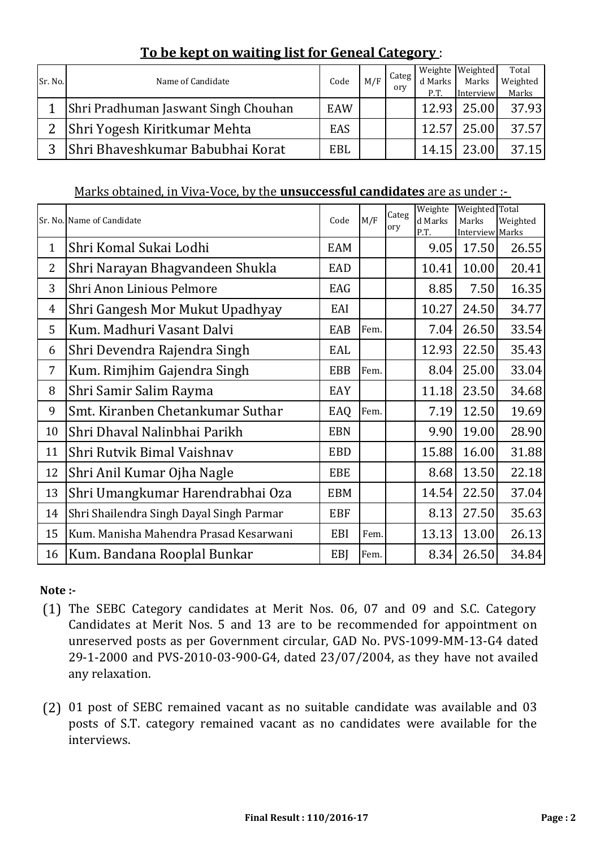## **To be kept on waiting list for Geneal Category** :

| Sr. No.       | Name of Candidate                    | Code       | M/F | Categ<br>orv |         | Weighte Weighted | Total    |
|---------------|--------------------------------------|------------|-----|--------------|---------|------------------|----------|
|               |                                      |            |     |              | d Marks | Marks            | Weighted |
|               |                                      |            |     |              | P.T.    | Interview        | Marks    |
|               | Shri Pradhuman Jaswant Singh Chouhan | <b>EAW</b> |     |              | 12.93   | 25.00            | 37.93    |
| $\mathcal{P}$ | Shri Yogesh Kiritkumar Mehta         | EAS        |     |              | 12.57   | 25.00            | 37.57    |
| 3             | Shri Bhaveshkumar Babubhai Korat     | EBL        |     |              | 14.15   | 23.00            | 37.15    |

#### Marks obtained, in Viva-Voce, by the **unsuccessful candidates** are as under :-

|                | Sr. No. Name of Candidate                | Code       | M/F  | Categ<br>ory | Weighte<br>d Marks<br>P.T. | <b>Weighted</b> Total<br>Marks<br><b>Interview Marks</b> | Weighted |
|----------------|------------------------------------------|------------|------|--------------|----------------------------|----------------------------------------------------------|----------|
| $\mathbf{1}$   | Shri Komal Sukai Lodhi                   | EAM        |      |              | 9.05                       | 17.50                                                    | 26.55    |
| 2              | Shri Narayan Bhagvandeen Shukla          | EAD        |      |              | 10.41                      | 10.00                                                    | 20.41    |
| 3              | Shri Anon Linious Pelmore                | EAG        |      |              | 8.85                       | 7.50                                                     | 16.35    |
| $\overline{4}$ | Shri Gangesh Mor Mukut Upadhyay          | EAI        |      |              | 10.27                      | 24.50                                                    | 34.77    |
| 5              | Kum. Madhuri Vasant Dalvi                | EAB        | Fem. |              | 7.04                       | 26.50                                                    | 33.54    |
| 6              | Shri Devendra Rajendra Singh             | EAL        |      |              | 12.93                      | 22.50                                                    | 35.43    |
| 7              | Kum. Rimjhim Gajendra Singh              | <b>EBB</b> | Fem. |              | 8.04                       | 25.00                                                    | 33.04    |
| 8              | Shri Samir Salim Rayma                   | EAY        |      |              | 11.18                      | 23.50                                                    | 34.68    |
| 9              | Smt. Kiranben Chetankumar Suthar         | EAQ        | Fem. |              | 7.19                       | 12.50                                                    | 19.69    |
| 10             | Shri Dhaval Nalinbhai Parikh             | <b>EBN</b> |      |              | 9.90                       | 19.00                                                    | 28.90    |
| 11             | Shri Rutvik Bimal Vaishnav               | <b>EBD</b> |      |              | 15.88                      | 16.00                                                    | 31.88    |
| 12             | Shri Anil Kumar Ojha Nagle               | <b>EBE</b> |      |              | 8.68                       | 13.50                                                    | 22.18    |
| 13             | Shri Umangkumar Harendrabhai Oza         | <b>EBM</b> |      |              | 14.54                      | 22.50                                                    | 37.04    |
| 14             | Shri Shailendra Singh Dayal Singh Parmar | <b>EBF</b> |      |              | 8.13                       | 27.50                                                    | 35.63    |
| 15             | Kum. Manisha Mahendra Prasad Kesarwani   | EBI        | Fem. |              | 13.13                      | 13.00                                                    | 26.13    |
| 16             | Kum. Bandana Rooplal Bunkar              | EBJ        | Fem. |              | 8.34                       | 26.50                                                    | 34.84    |

#### **Note :-**

- (1) The SEBC Category candidates at Merit Nos. 06, 07 and 09 and S.C. Category Candidates at Merit Nos. 5 and 13 are to be recommended for appointment on unreserved posts as per Government circular, GAD No. PVS-1099-MM-13-G4 dated 29-1-2000 and PVS-2010-03-900-G4, dated 23/07/2004, as they have not availed any relaxation.
- (2) 01 post of SEBC remained vacant as no suitable candidate was available and 03 posts of S.T. category remained vacant as no candidates were available for the interviews.